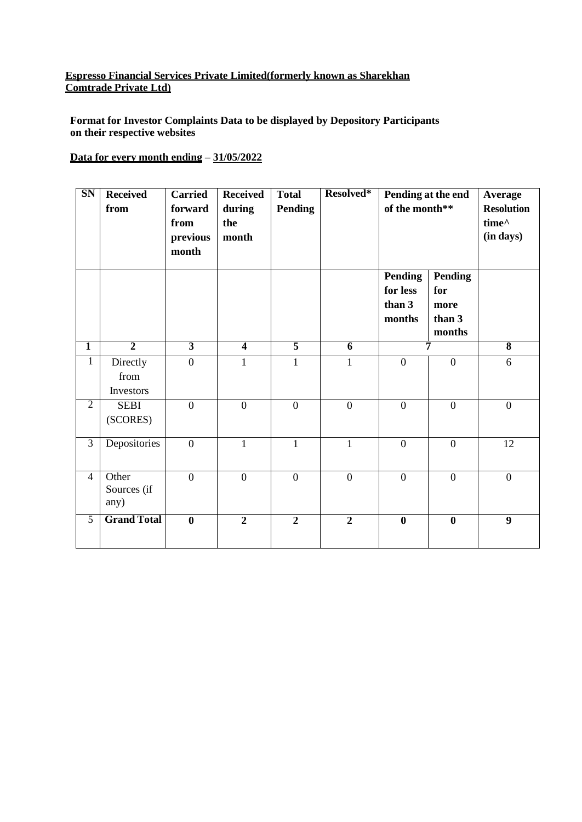## **Espresso Financial Services Private Limited(formerly known as Sharekhan Comtrade Private Ltd)**

**Format for Investor Complaints Data to be displayed by Depository Participants on their respective websites**

## **Data for every month ending – 31/05/2022**

| SN             | <b>Received</b><br>from       | <b>Carried</b><br>forward<br>from<br>previous<br>month | <b>Received</b><br>during<br>the<br>month | <b>Total</b><br>Pending | Resolved*        | Pending at the end<br>of the month**           |                                                   | Average<br><b>Resolution</b><br>time^<br>(in days) |
|----------------|-------------------------------|--------------------------------------------------------|-------------------------------------------|-------------------------|------------------|------------------------------------------------|---------------------------------------------------|----------------------------------------------------|
|                |                               |                                                        |                                           |                         |                  | <b>Pending</b><br>for less<br>than 3<br>months | <b>Pending</b><br>for<br>more<br>than 3<br>months |                                                    |
| $\mathbf{1}$   | $\overline{2}$                | $\overline{3}$                                         | $\overline{4}$                            | $\overline{5}$          | 6                | 7                                              |                                                   | $\overline{\mathbf{8}}$                            |
| $\overline{1}$ | Directly<br>from<br>Investors | $\overline{0}$                                         | $\mathbf{1}$                              | $\mathbf{1}$            | $\mathbf{1}$     | $\overline{0}$                                 | $\overline{0}$                                    | 6                                                  |
| $\overline{2}$ | <b>SEBI</b><br>(SCORES)       | $\mathbf{0}$                                           | $\mathbf{0}$                              | $\boldsymbol{0}$        | $\boldsymbol{0}$ | $\overline{0}$                                 | $\overline{0}$                                    | $\mathbf{0}$                                       |
| $\overline{3}$ | Depositories                  | $\boldsymbol{0}$                                       | $\mathbf{1}$                              | $\mathbf{1}$            | $\mathbf{1}$     | $\boldsymbol{0}$                               | $\overline{0}$                                    | 12                                                 |
| $\overline{4}$ | Other<br>Sources (if<br>any)  | $\overline{0}$                                         | $\overline{0}$                            | $\boldsymbol{0}$        | $\boldsymbol{0}$ | $\overline{0}$                                 | $\overline{0}$                                    | $\boldsymbol{0}$                                   |
| $\overline{5}$ | <b>Grand Total</b>            | $\bf{0}$                                               | $\overline{2}$                            | $\overline{2}$          | $\boldsymbol{2}$ | $\bf{0}$                                       | $\bf{0}$                                          | 9                                                  |